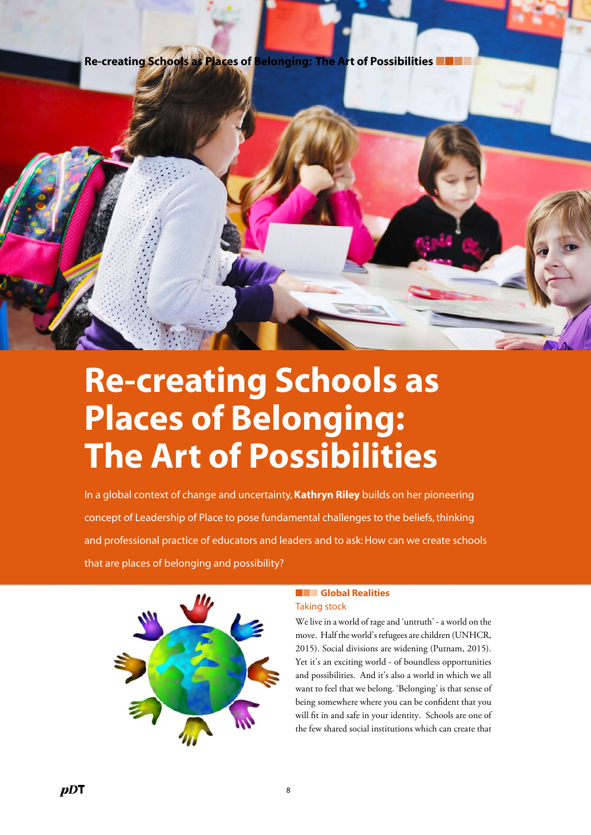Re-creating Schools as Places of Belonging: The Art of Possibilities I



# Re-creating Schools as Places of Belonging: The Art of Possibilities

In a global context of change and uncertainty, Kathryn Riley builds on her pioneering concept of Leadership of Place to pose fundamental challenges to the beliefs, thinking and professional practice of educators and leaders and to ask: How can we create schools that are places of belonging and possibility?



## ■■■ Global Realities Taking stock

We live in a world of rage and 'untruth' - a world on the move. Half the world's refugees are children (UNHCR, 2015). Social divisions are widening (Putnam, 2015). Yet it's an exciting world - of boundless opportunities and possibilities. And it's also a world in which we all want to feel that we belong. 'Belonging' is that sense of being somewhere where you can be confident that you will fit in and safe in your identity. Schools are one of the few shared social institutions which can create that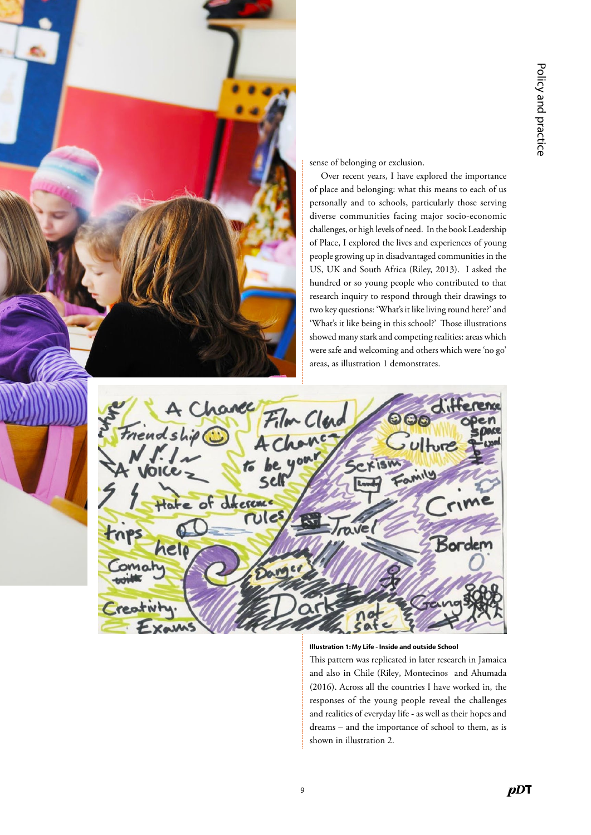

#### Illustration 1: My Life - Inside and outside School

This pattern was replicated in later research in Jamaica and also in Chile (Riley, Montecinos and Ahumada (2016). Across all the countries I have worked in, the responses of the young people reveal the challenges and realities of everyday life - as well as their hopes and dreams – and the importance of school to them, as is shown in illustration 2.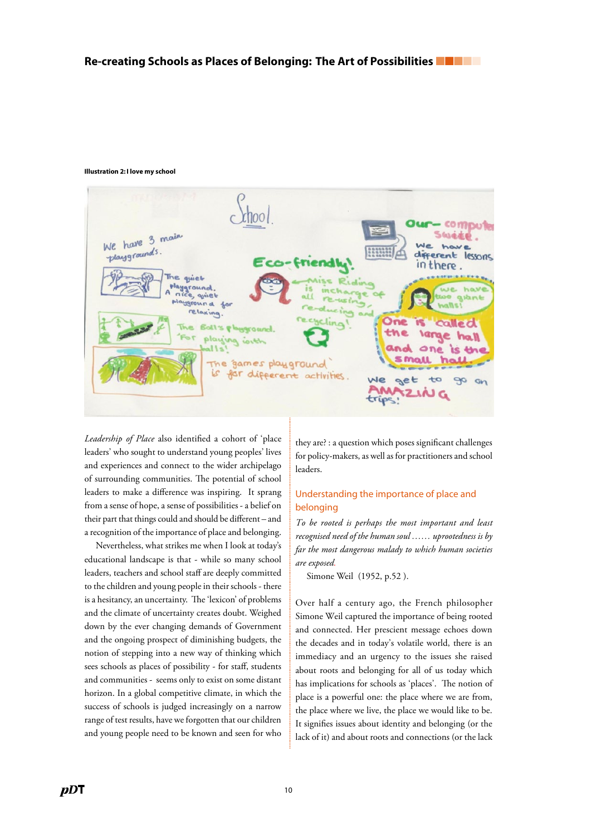#### Illustration 2: I love my school

....................................................................................................................................................................................................................................................................................................................................................................................... We have 3 main playgrounds rent lesson in there ala. games play ground

*Leadership of Place* also identified a cohort of 'place leaders' who sought to understand young peoples' lives and experiences and connect to the wider archipelago of surrounding communities. The potential of school leaders to make a difference was inspiring. It sprang from a sense of hope, a sense of possibilities - a belief on their part that things could and should be different – and a recognition of the importance of place and belonging.

Nevertheless, what strikes me when I look at today's educational landscape is that - while so many school leaders, teachers and school staff are deeply committed to the children and young people in their schools - there is a hesitancy, an uncertainty. The 'lexicon' of problems and the climate of uncertainty creates doubt. Weighed down by the ever changing demands of Government and the ongoing prospect of diminishing budgets, the notion of stepping into a new way of thinking which sees schools as places of possibility - for staff, students and communities - seems only to exist on some distant horizon. In a global competitive climate, in which the success of schools is judged increasingly on a narrow range of test results, have we forgotten that our children and young people need to be known and seen for who

they are? : a question which poses significant challenges for policy-makers, as well as for practitioners and school leaders.

## Understanding the importance of place and belonging

*To be rooted is perhaps the most important and least recognised need of the human soul …… uprootedness is by far the most dangerous malady to which human societies are exposed.*

Simone Weil (1952, p.52 ).

Over half a century ago, the French philosopher Simone Weil captured the importance of being rooted and connected. Her prescient message echoes down the decades and in today's volatile world, there is an immediacy and an urgency to the issues she raised about roots and belonging for all of us today which has implications for schools as 'places'. The notion of place is a powerful one: the place where we are from, the place where we live, the place we would like to be. It signifies issues about identity and belonging (or the lack of it) and about roots and connections (or the lack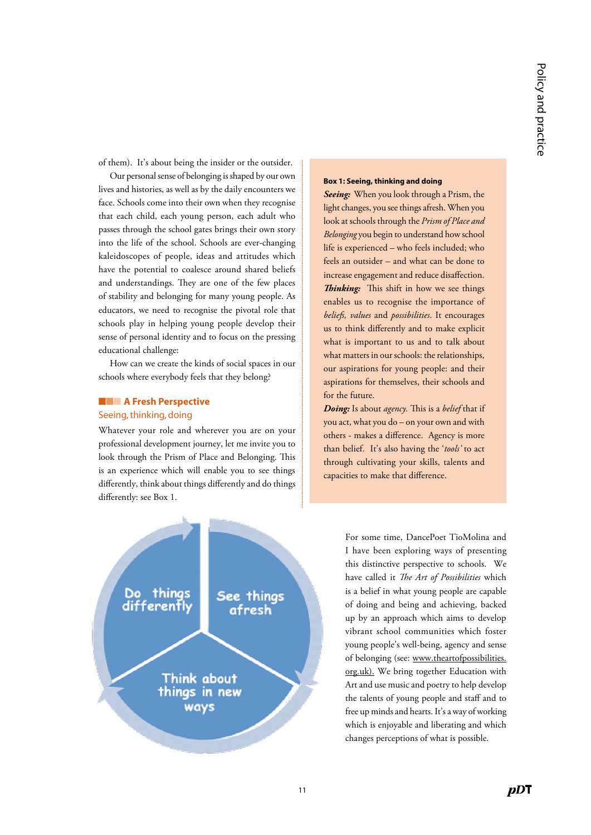of them). It's about being the insider or the outsider.

Our personal sense of belonging is shaped by our own lives and histories, as well as by the daily encounters we face. Schools come into their own when they recognise that each child, each young person, each adult who passes through the school gates brings their own story into the life of the school. Schools are ever-changing kaleidoscopes of people, ideas and attitudes which have the potential to coalesce around shared beliefs and understandings. They are one of the few places of stability and belonging for many young people. As educators, we need to recognise the pivotal role that schools play in helping young people develop their sense of personal identity and to focus on the pressing educational challenge:

How can we create the kinds of social spaces in our schools where everybody feels that they belong?

# ■■■ A Fresh Perspective

### Seeing, thinking, doing

Whatever your role and wherever you are on your professional development journey, let me invite you to look through the Prism of Place and Belonging. This is an experience which will enable you to see things differently, think about things differently and do things differently: see Box 1.



*Seeing:* When you look through a Prism, the light changes, you see things afresh. When you look at schools through the *Prism of Place and Belonging* you begin to understand how school life is experienced – who feels included; who feels an outsider – and what can be done to increase engagement and reduce disaffection. *Thinking:* This shift in how we see things enables us to recognise the importance of *beliefs, values* and *possibilities*. It encourages us to think differently and to make explicit what is important to us and to talk about what matters in our schools: the relationships, our aspirations for young people: and their aspirations for themselves, their schools and for the future.

*Doing:* Is about *agency.* This is a *belief* that if you act, what you do – on your own and with others - makes a difference. Agency is more than belief. It's also having the '*tools'* to act through cultivating your skills, talents and capacities to make that difference.



For some time, DancePoet TioMolina and I have been exploring ways of presenting this distinctive perspective to schools. We have called it *The Art of Possibilities* which is a belief in what young people are capable of doing and being and achieving, backed up by an approach which aims to develop vibrant school communities which foster young people's well-being, agency and sense of belonging (see: [www.theartofpossibilities.](http://www.theartofpossibilities.org.uk) [org.uk\)](http://www.theartofpossibilities.org.uk). We bring together Education with Art and use music and poetry to help develop the talents of young people and staff and to free up minds and hearts. It's a way of working which is enjoyable and liberating and which changes perceptions of what is possible.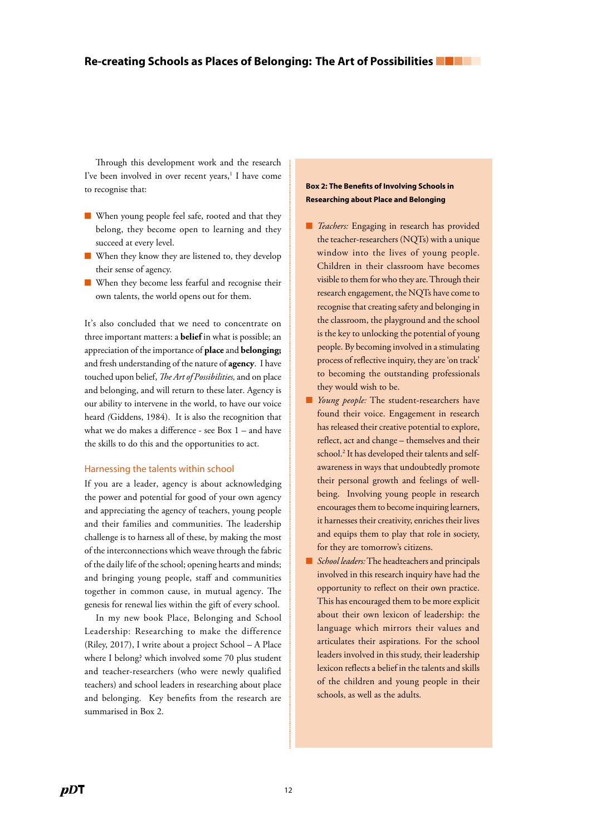Through this development work and the research I've been involved in over recent years,<sup>1</sup> I have come to recognise that:

- When young people feel safe, rooted and that they belong, they become open to learning and they succeed at every level.
- When they know they are listened to, they develop their sense of agency.
- When they become less fearful and recognise their own talents, the world opens out for them.

It's also concluded that we need to concentrate on three important matters: a **belief** in what is possible; an appreciation of the importance of **place** and **belonging;** and fresh understanding of the nature of **agency**. I have touched upon belief, *The Art of Possibilities,* and on place and belonging, and will return to these later. Agency is our ability to intervene in the world, to have our voice heard *(*Giddens, 1984). It is also the recognition that what we do makes a difference - see Box 1 – and have the skills to do this and the opportunities to act.

#### Harnessing the talents within school

If you are a leader, agency is about acknowledging the power and potential for good of your own agency and appreciating the agency of teachers, young people and their families and communities. The leadership challenge is to harness all of these, by making the most of the interconnections which weave through the fabric of the daily life of the school; opening hearts and minds; and bringing young people, staff and communities together in common cause, in mutual agency. The genesis for renewal lies within the gift of every school.

In my new book Place, Belonging and School Leadership: Researching to make the difference (Riley, 2017), I write about a project School – A Place where I belong? which involved some 70 plus student and teacher-researchers (who were newly qualified teachers) and school leaders in researching about place and belonging. Key benefits from the research are summarised in Box 2.

### Box 2: The Benefits of Involving Schools in Researching about Place and Belonging

- *Teachers:* Engaging in research has provided the teacher-researchers (NQTs) with a unique window into the lives of young people. Children in their classroom have becomes visible to them for who they are. Through their research engagement, the NQTs have come to recognise that creating safety and belonging in the classroom, the playground and the school is the key to unlocking the potential of young people. By becoming involved in a stimulating process of reflective inquiry, they are 'on track' to becoming the outstanding professionals they would wish to be.
- *Young people:* The student-researchers have found their voice. Engagement in research has released their creative potential to explore, reflect, act and change – themselves and their school.<sup>2</sup> It has developed their talents and selfawareness in ways that undoubtedly promote their personal growth and feelings of wellbeing. Involving young people in research encourages them to become inquiring learners, it harnesses their creativity, enriches their lives and equips them to play that role in society, for they are tomorrow's citizens.
- *School leaders:* The headteachers and principals involved in this research inquiry have had the opportunity to reflect on their own practice. This has encouraged them to be more explicit about their own lexicon of leadership: the language which mirrors their values and articulates their aspirations. For the school leaders involved in this study, their leadership lexicon reflects a belief in the talents and skills of the children and young people in their schools, as well as the adults.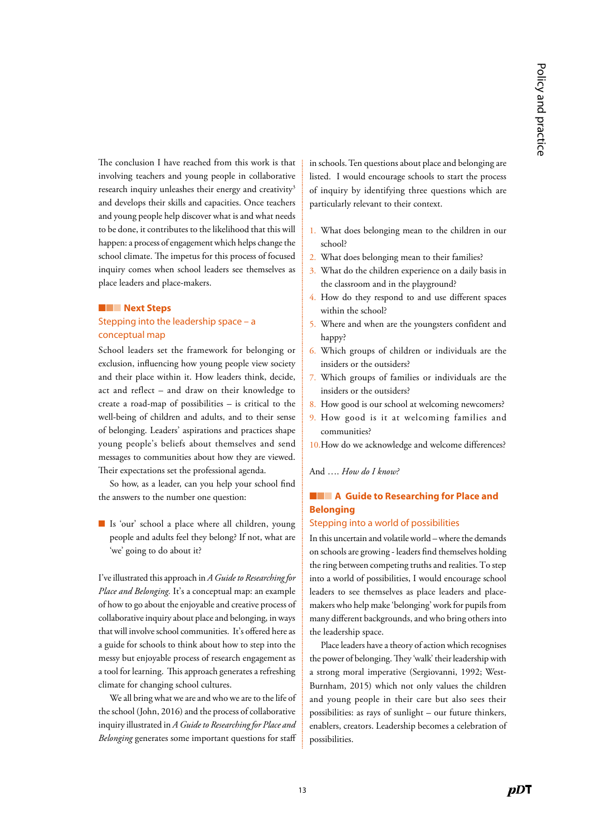The conclusion I have reached from this work is that involving teachers and young people in collaborative research inquiry unleashes their energy and creativity<sup>3</sup> and develops their skills and capacities. Once teachers and young people help discover what is and what needs to be done, it contributes to the likelihood that this will happen: a process of engagement which helps change the school climate. The impetus for this process of focused inquiry comes when school leaders see themselves as place leaders and place-makers.

#### ■■■ Next Steps

## Stepping into the leadership space – a conceptual map

School leaders set the framework for belonging or exclusion, influencing how young people view society and their place within it. How leaders think, decide, act and reflect – and draw on their knowledge to create a road-map of possibilities – is critical to the well-being of children and adults, and to their sense of belonging. Leaders' aspirations and practices shape young people's beliefs about themselves and send messages to communities about how they are viewed. Their expectations set the professional agenda.

So how, as a leader, can you help your school find the answers to the number one question:

■ Is 'our' school a place where all children, young people and adults feel they belong? If not, what are 'we' going to do about it?

I've illustrated this approach in *A Guide to Researching for Place and Belonging.* It's a conceptual map: an example of how to go about the enjoyable and creative process of collaborative inquiry about place and belonging, in ways that will involve school communities. It's offered here as a guide for schools to think about how to step into the messy but enjoyable process of research engagement as a tool for learning. This approach generates a refreshing climate for changing school cultures.

We all bring what we are and who we are to the life of the school (John, 2016) and the process of collaborative inquiry illustrated in *A Guide to Researching for Place and Belonging* generates some important questions for staff in schools. Ten questions about place and belonging are listed. I would encourage schools to start the process of inquiry by identifying three questions which are particularly relevant to their context.

- 1. What does belonging mean to the children in our school?
- 2. What does belonging mean to their families?
- 3. What do the children experience on a daily basis in the classroom and in the playground?
- 4. How do they respond to and use different spaces within the school?
- 5. Where and when are the youngsters confident and happy?
- 6. Which groups of children or individuals are the insiders or the outsiders?
- 7. Which groups of families or individuals are the insiders or the outsiders?
- 8. How good is our school at welcoming newcomers?
- 9. How good is it at welcoming families and communities?
- 10.How do we acknowledge and welcome differences?

#### And …. *How do I know?*

# ■■■ A Guide to Researching for Place and Belonging

#### Stepping into a world of possibilities

In this uncertain and volatile world – where the demands on schools are growing - leaders find themselves holding the ring between competing truths and realities. To step into a world of possibilities, I would encourage school leaders to see themselves as place leaders and placemakers who help make 'belonging' work for pupils from many different backgrounds, and who bring others into the leadership space.

Place leaders have a theory of action which recognises the power of belonging. They 'walk' their leadership with a strong moral imperative (Sergiovanni, 1992; West-Burnham, 2015) which not only values the children and young people in their care but also sees their possibilities: as rays of sunlight – our future thinkers, enablers, creators. Leadership becomes a celebration of possibilities.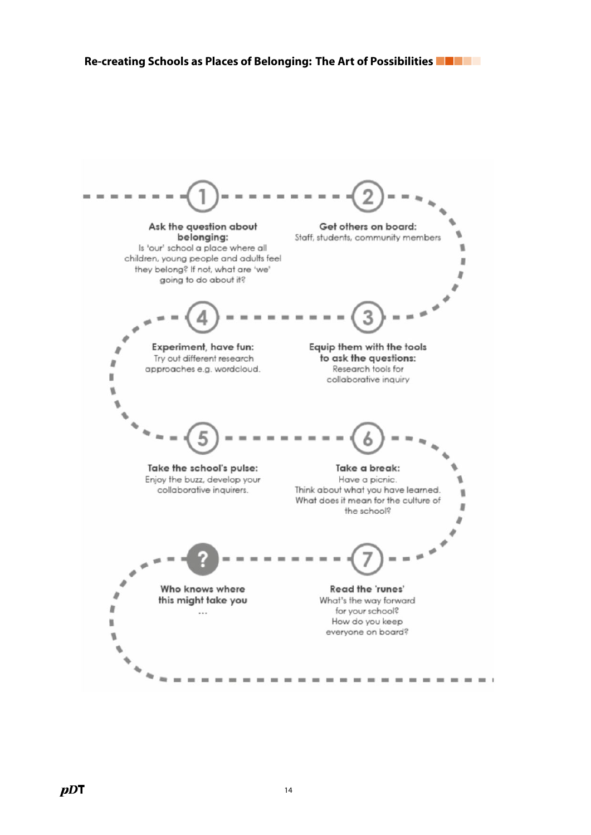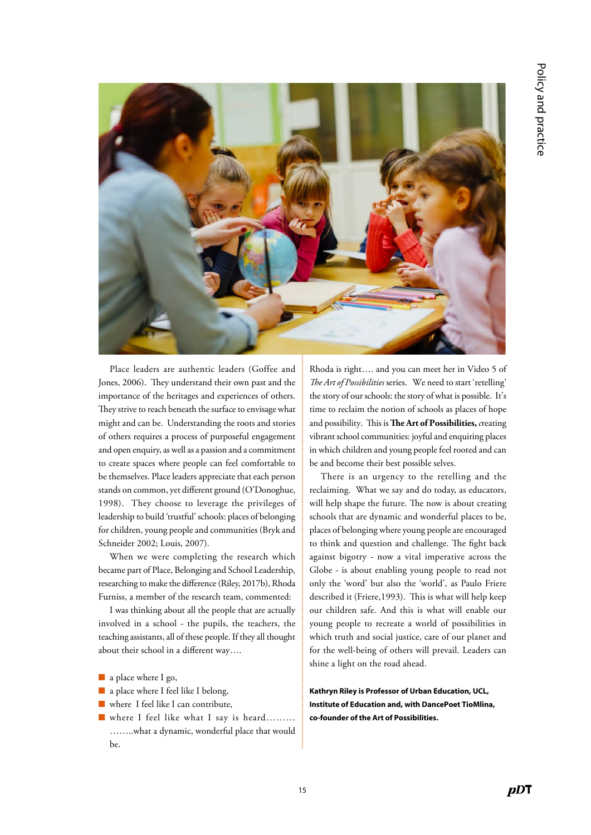

Place leaders are authentic leaders (Goffee and Jones, 2006). They understand their own past and the importance of the heritages and experiences of others. They strive to reach beneath the surface to envisage what might and can be. Understanding the roots and stories of others requires a process of purposeful engagement and open enquiry, as well as a passion and a commitment to create spaces where people can feel comfortable to be themselves. Place leaders appreciate that each person stands on common, yet different ground (O'Donoghue, 1998). They choose to leverage the privileges of leadership to build 'trustful' schools: places of belonging for children, young people and communities (Bryk and Schneider 2002; Louis, 2007).

When we were completing the research which became part of Place, Belonging and School Leadership, researching to make the difference (Riley, 2017b), Rhoda Furniss, a member of the research team, commented:

I was thinking about all the people that are actually involved in a school - the pupils, the teachers, the teaching assistants, all of these people. If they all thought about their school in a different way….

- a place where I go,
- a place where I feel like I belong,
- where I feel like I can contribute,
- where I feel like what I say is heard……… ……..what a dynamic, wonderful place that would be.

Rhoda is right…. and you can meet her in Video 5 of *The Art of Possibilities* series. We need to start 'retelling' the story of our schools: the story of what is possible. It's time to reclaim the notion of schools as places of hope and possibility. This is **The Art of Possibilities,** *c*reating vibrant school communities: joyful and enquiring places in which children and young people feel rooted and can be and become their best possible selves.

There is an urgency to the retelling and the reclaiming. What we say and do today, as educators, will help shape the future. The now is about creating schools that are dynamic and wonderful places to be, places of belonging where young people are encouraged to think and question and challenge. The fight back against bigotry - now a vital imperative across the Globe - is about enabling young people to read not only the 'word' but also the 'world', as Paulo Friere described it (Friere,1993). This is what will help keep our children safe. And this is what will enable our young people to recreate a world of possibilities in which truth and social justice, care of our planet and for the well-being of others will prevail. Leaders can shine a light on the road ahead.

Kathryn Riley is Professor of Urban Education, UCL, Institute of Education and, with DancePoet TioMlina, co-founder of the Art of Possibilities.